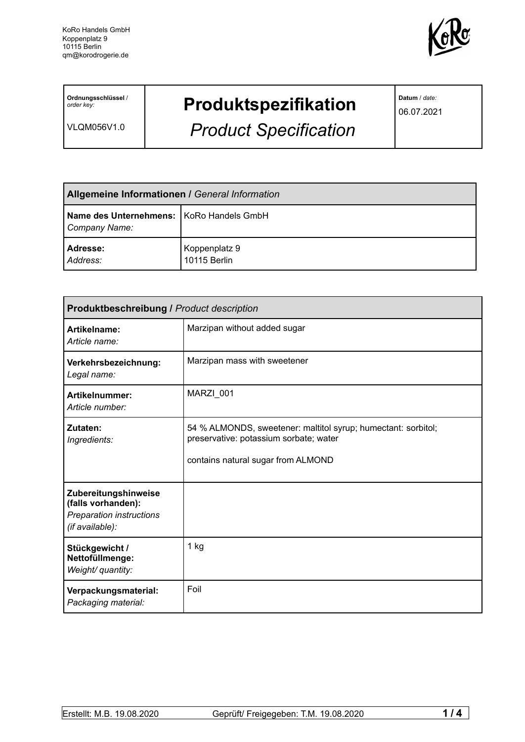

**Ordnungsschlüssel** / *order key:*

VLQM056V1.0

# **Produktspezifikation**

*Product Specification*

**Datum** / *date:*

06.07.2021

| <b>Allgemeine Informationen / General Information</b>       |                               |
|-------------------------------------------------------------|-------------------------------|
| Name des Unternehmens:   KoRo Handels GmbH<br>Company Name: |                               |
| Adresse:<br>Address:                                        | Koppenplatz 9<br>10115 Berlin |

| <b>Produktbeschreibung / Product description</b>                                          |                                                                                                                                               |  |  |
|-------------------------------------------------------------------------------------------|-----------------------------------------------------------------------------------------------------------------------------------------------|--|--|
| Artikelname:<br>Article name:                                                             | Marzipan without added sugar                                                                                                                  |  |  |
| Verkehrsbezeichnung:<br>Legal name:                                                       | Marzipan mass with sweetener                                                                                                                  |  |  |
| <b>Artikelnummer:</b><br>Article number:                                                  | MARZI_001                                                                                                                                     |  |  |
| Zutaten:<br>Ingredients:                                                                  | 54 % ALMONDS, sweetener: maltitol syrup; humectant: sorbitol;<br>preservative: potassium sorbate; water<br>contains natural sugar from ALMOND |  |  |
| Zubereitungshinweise<br>(falls vorhanden):<br>Preparation instructions<br>(if available): |                                                                                                                                               |  |  |
| Stückgewicht /<br>Nettofüllmenge:<br>Weight/ quantity:                                    | 1 kg                                                                                                                                          |  |  |
| Verpackungsmaterial:<br>Packaging material:                                               | Foil                                                                                                                                          |  |  |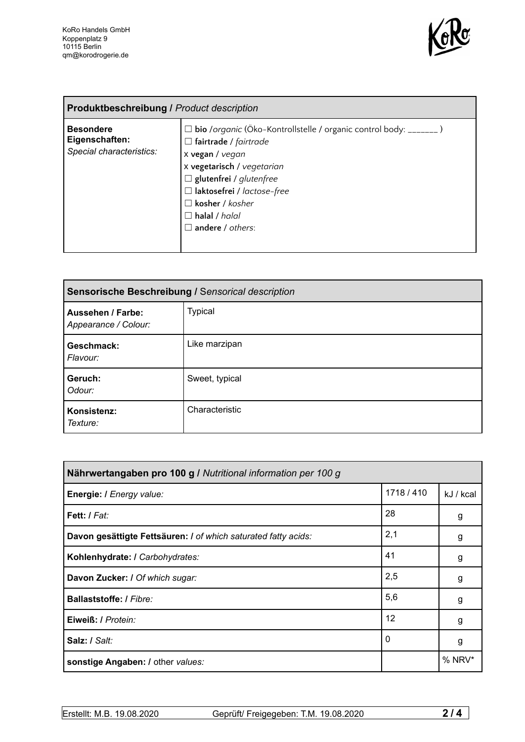

| <b>Produktbeschreibung / Product description</b>               |                                                                                                                                                                                                                                                                                                          |  |
|----------------------------------------------------------------|----------------------------------------------------------------------------------------------------------------------------------------------------------------------------------------------------------------------------------------------------------------------------------------------------------|--|
| <b>Besondere</b><br>Eigenschaften:<br>Special characteristics: | □ bio /organic (Öko-Kontrollstelle / organic control body: _______)<br>$\Box$ fairtrade / fairtrade<br>x vegan / vegan<br>x vegetarisch / vegetarian<br>$\Box$ glutenfrei / glutenfree<br>$\Box$ laktosefrei / lactose-free<br>$\Box$ kosher / kosher<br>$\Box$ halal / halal<br>$\Box$ andere / others: |  |

| Sensorische Beschreibung / Sensorical description |                |  |
|---------------------------------------------------|----------------|--|
| <b>Aussehen / Farbe:</b><br>Appearance / Colour:  | <b>Typical</b> |  |
| Geschmack:<br>Flavour:                            | Like marzipan  |  |
| Geruch:<br>Odour:                                 | Sweet, typical |  |
| Konsistenz:<br>Texture:                           | Characteristic |  |

| Nährwertangaben pro 100 g / Nutritional information per 100 g  |            |           |
|----------------------------------------------------------------|------------|-----------|
| Energie: I Energy value:                                       | 1718 / 410 | kJ / kcal |
| Fett: I Fat:                                                   | 28         | g         |
| Davon gesättigte Fettsäuren: I of which saturated fatty acids: | 2,1        | g         |
| Kohlenhydrate: I Carbohydrates:                                | 41         | g         |
| Davon Zucker: I Of which sugar:                                | 2,5        | g         |
| <b>Ballaststoffe: / Fibre:</b>                                 | 5,6        | g         |
| Eiweiß: / Protein:                                             | 12         | g         |
| Salz: / Salt:                                                  | 0          | g         |
| sonstige Angaben: / other values:                              |            | % NRV*    |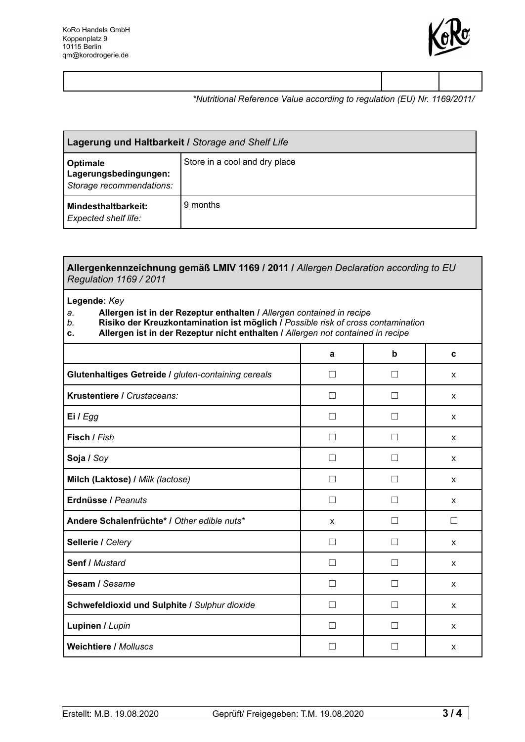

### *\*Nutritional Reference Value according to regulation (EU) Nr. 1169/2011/*

| Lagerung und Haltbarkeit / Storage and Shelf Life                    |                               |  |
|----------------------------------------------------------------------|-------------------------------|--|
| <b>Optimale</b><br>Lagerungsbedingungen:<br>Storage recommendations: | Store in a cool and dry place |  |
| Mindesthaltbarkeit:<br><b>Expected shelf life:</b>                   | 9 months                      |  |

#### **Allergenkennzeichnung gemäß LMIV 1169 / 2011 /** *Allergen Declaration according to EU Regulation 1169 / 2011*

#### **Legende:** *Key*

## *a.* **Allergen ist in der Rezeptur enthalten /** *Allergen contained in recipe*

- *b.* **Risiko der Kreuzkontamination ist möglich /** *Possible risk of cross contamination*
- **c. Allergen ist in der Rezeptur nicht enthalten /** *Allergen not contained in recipe*

|                                                     | a                 | þ | C            |
|-----------------------------------------------------|-------------------|---|--------------|
| Glutenhaltiges Getreide / gluten-containing cereals | $\Box$            |   | X            |
| Krustentiere / Crustaceans:                         | П                 |   | X            |
| Ei / Egg                                            | L.                |   | X            |
| Fisch / Fish                                        | П                 |   | X            |
| Soja / Soy                                          |                   |   | X            |
| Milch (Laktose) / Milk (lactose)                    | П                 |   | X            |
| Erdnüsse / Peanuts                                  | $\vert \ \ \vert$ |   | X            |
| Andere Schalenfrüchte* / Other edible nuts*         | X                 |   | - 1          |
| Sellerie / Celery                                   |                   |   | $\mathsf{x}$ |
| <b>Senf / Mustard</b>                               | $\mathsf{L}$      |   | $\mathsf{x}$ |
| Sesam / Sesame                                      |                   |   | X            |
| Schwefeldioxid und Sulphite / Sulphur dioxide       | $\mathbf{L}$      |   | X            |
| Lupinen / Lupin                                     |                   |   | X            |
| <b>Weichtiere / Molluscs</b>                        |                   |   | X            |